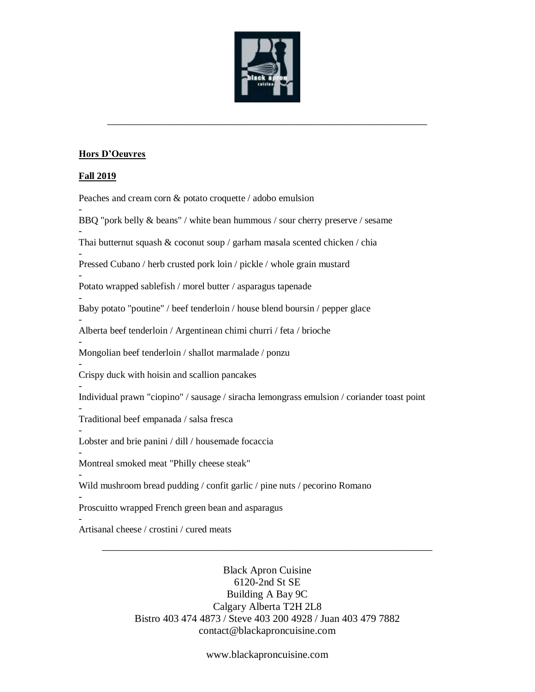

\_\_\_\_\_\_\_\_\_\_\_\_\_\_\_\_\_\_\_\_\_\_\_\_\_\_\_\_\_\_\_\_\_\_\_\_\_\_\_\_\_\_\_\_\_\_\_\_\_\_\_\_\_\_\_\_\_\_\_\_\_

## **Hors D'Oeuvres**

## **Fall 2019**

-

-

-

-

-

-

-

Peaches and cream corn & potato croquette / adobo emulsion

BBQ "pork belly & beans" / white bean hummous / sour cherry preserve / sesame

Thai butternut squash & coconut soup / garham masala scented chicken / chia

- Pressed Cubano / herb crusted pork loin / pickle / whole grain mustard

- Potato wrapped sablefish / morel butter / asparagus tapenade

Baby potato "poutine" / beef tenderloin / house blend boursin / pepper glace

Alberta beef tenderloin / Argentinean chimi churri / feta / brioche

- Mongolian beef tenderloin / shallot marmalade / ponzu

- Crispy duck with hoisin and scallion pancakes

Individual prawn "ciopino" / sausage / siracha lemongrass emulsion / coriander toast point

- Traditional beef empanada / salsa fresca

- Lobster and brie panini / dill / housemade focaccia

Montreal smoked meat "Philly cheese steak"

Wild mushroom bread pudding / confit garlic / pine nuts / pecorino Romano

- Proscuitto wrapped French green bean and asparagus

- Artisanal cheese / crostini / cured meats

> Black Apron Cuisine 6120-2nd St SE Building A Bay 9C Calgary Alberta T2H 2L8 Bistro 403 474 4873 / Steve 403 200 4928 / Juan 403 479 7882 contact@blackaproncuisine.com

\_\_\_\_\_\_\_\_\_\_\_\_\_\_\_\_\_\_\_\_\_\_\_\_\_\_\_\_\_\_\_\_\_\_\_\_\_\_\_\_\_\_\_\_\_\_\_\_\_\_\_\_\_\_\_\_\_\_\_\_\_\_\_

www.blackaproncuisine.com